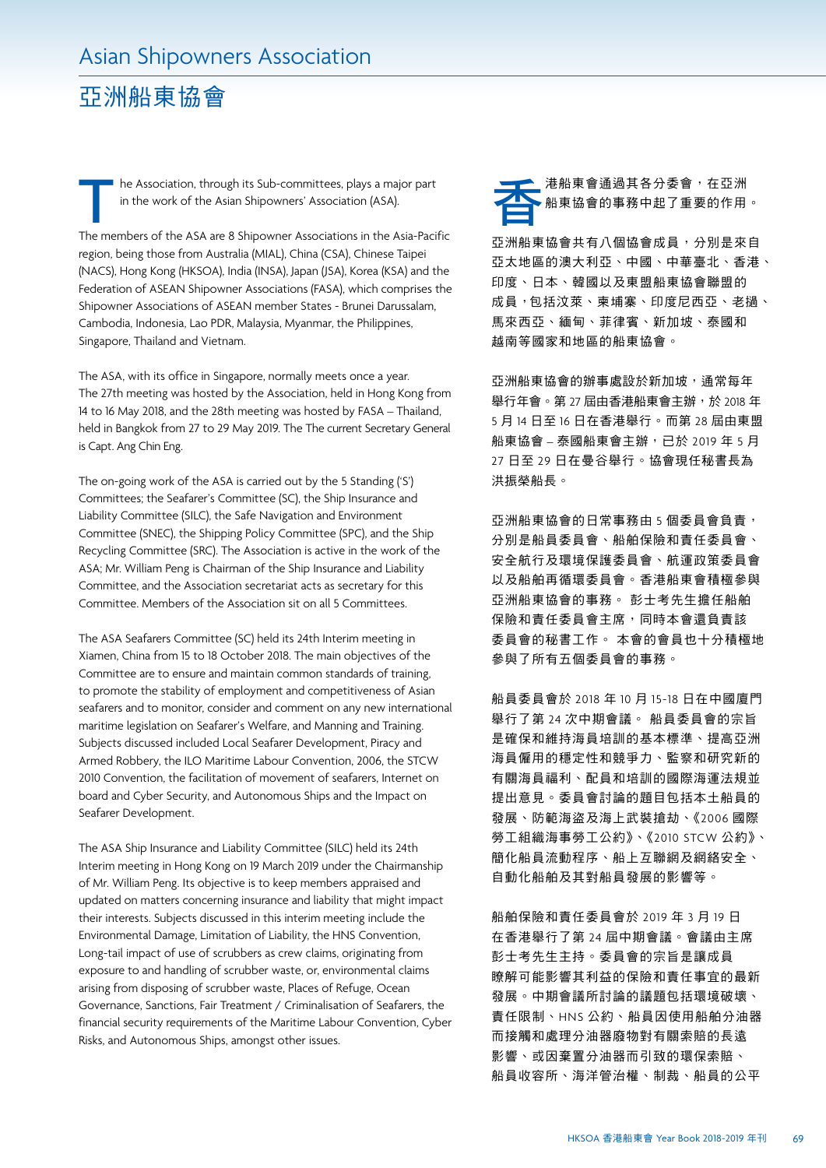## 亞洲船東協會

The Association, through its Sub-committees, plays a major part<br>in the work of the Asian Shipowners' Association (ASA).<br>The members of the ASA are 8 Shipowner Associations in the Asia-Pacific he Association, through its Sub-committees, plays a major part in the work of the Asian Shipowners' Association (ASA).

region, being those from Australia (MIAL), China (CSA), Chinese Taipei (NACS), Hong Kong (HKSOA), India (INSA), Japan (JSA), Korea (KSA) and the Federation of ASEAN Shipowner Associations (FASA), which comprises the Shipowner Associations of ASEAN member States - Brunei Darussalam, Cambodia, Indonesia, Lao PDR, Malaysia, Myanmar, the Philippines, Singapore, Thailand and Vietnam.

The ASA, with its office in Singapore, normally meets once a year. The 27th meeting was hosted by the Association, held in Hong Kong from 14 to 16 May 2018, and the 28th meeting was hosted by FASA – Thailand, held in Bangkok from 27 to 29 May 2019. The The current Secretary General is Capt. Ang Chin Eng.

The on-going work of the ASA is carried out by the 5 Standing ('S') Committees; the Seafarer's Committee (SC), the Ship Insurance and Liability Committee (SILC), the Safe Navigation and Environment Committee (SNEC), the Shipping Policy Committee (SPC), and the Ship Recycling Committee (SRC). The Association is active in the work of the ASA; Mr. William Peng is Chairman of the Ship Insurance and Liability Committee, and the Association secretariat acts as secretary for this Committee. Members of the Association sit on all 5 Committees.

The ASA Seafarers Committee (SC) held its 24th Interim meeting in Xiamen, China from 15 to 18 October 2018. The main objectives of the Committee are to ensure and maintain common standards of training, to promote the stability of employment and competitiveness of Asian seafarers and to monitor, consider and comment on any new international maritime legislation on Seafarer's Welfare, and Manning and Training. Subjects discussed included Local Seafarer Development, Piracy and Armed Robbery, the ILO Maritime Labour Convention, 2006, the STCW 2010 Convention, the facilitation of movement of seafarers, Internet on board and Cyber Security, and Autonomous Ships and the Impact on Seafarer Development.

The ASA Ship Insurance and Liability Committee (SILC) held its 24th Interim meeting in Hong Kong on 19 March 2019 under the Chairmanship of Mr. William Peng. Its objective is to keep members appraised and updated on matters concerning insurance and liability that might impact their interests. Subjects discussed in this interim meeting include the Environmental Damage, Limitation of Liability, the HNS Convention, Long-tail impact of use of scrubbers as crew claims, originating from exposure to and handling of scrubber waste, or, environmental claims arising from disposing of scrubber waste, Places of Refuge, Ocean Governance, Sanctions, Fair Treatment / Criminalisation of Seafarers, the financial security requirements of the Maritime Labour Convention, Cyber Risks, and Autonomous Ships, amongst other issues.



亞洲船東協會共有八個協會成員,分別是來自 亞太地區的澳大利亞、中國、中華臺北、香港、 印度、日本、韓國以及東盟船東協會聯盟的 成員,包括汶萊、柬埔寨、印度尼西亞、老撾、 馬來西亞、緬甸、菲律賓、新加坡、泰國和 越南等國家和地區的船東協會。

亞洲船東協會的辦事處設於新加坡,通常每年 舉行年會。第 27 屆由香港船東會主辦,於 2018 年 5 月 14 日至 16 日在香港舉行。而第 28 屆由東盟 船東協會 – 泰國船東會主辦, 已於 2019 年 5 月 27 日至 29 日在曼谷舉行。協會現任秘書長為 洪振榮船長。

亞洲船東協會的日常事務由 5 個委員會負責, 分別是船員委員會、船舶保險和責任委員會、 安全航行及環境保護委員會、航運政策委員會 以及船舶再循環委員會。香港船東會積極參與 亞洲船東協會的事務。 彭士考先生擔任船舶 保險和責任委員會主席,同時本會還負責該 委員會的秘書工作。 本會的會員也十分積極地 參與了所有五個委員會的事務。

船員委員會於 2018 年 10 月 15-18 日在中國廈門 舉行了第 24 次中期會議。 船員委員會的宗旨 是確保和維持海員培訓的基本標準、提高亞洲 海員僱用的穩定性和競爭力、監察和研究新的 有關海員福利、配員和培訓的國際海運法規並 提出意見。委員會討論的題目包括本土船員的 發展、防範海盜及海上武裝搶劫、《2006 國際 勞工組織海事勞工公約》、《2010 STCW 公約》、 簡化船員流動程序、船上互聯網及網絡安全、 自動化船舶及其對船員發展的影響等。

船舶保險和責任委員會於 2019 年 3 月 19 日 在香港舉行了第 24 屆中期會議。會議由主席 彭士考先生主持。委員會的宗旨是讓成員 瞭解可能影響其利益的保險和責任事宜的最新 發展。中期會議所討論的議題包括環境破壞、 責任限制、HNS 公約、船員因使用船舶分油器 而接觸和處理分油器廢物對有關索賠的長遠 影響、或因棄置分油器而引致的環保索賠、 船員收容所、海洋管治權、制裁、船員的公平